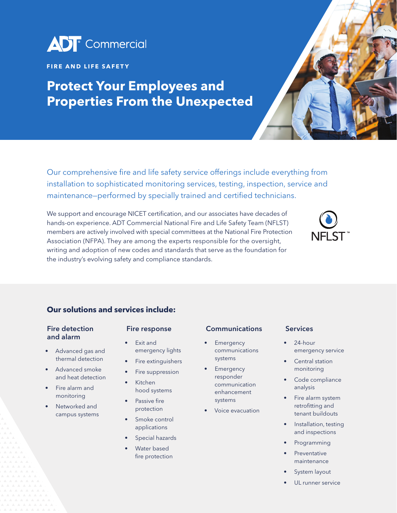

### **FIRE AND LIFE SAFETY**

## **Protect Your Employees and Properties From the Unexpected**

Our comprehensive fire and life safety service offerings include everything from installation to sophisticated monitoring services, testing, inspection, service and maintenance—performed by specially trained and certified technicians.

We support and encourage NICET certification, and our associates have decades of hands-on experience. ADT Commercial National Fire and Life Safety Team (NFLST) members are actively involved with special committees at the National Fire Protection Association (NFPA). They are among the experts responsible for the oversight, writing and adoption of new codes and standards that serve as the foundation for the industry's evolving safety and compliance standards.



## **Our solutions and services include:**

### Fire detection and alarm

- Advanced gas and thermal detection
- Advanced smoke and heat detection
- Fire alarm and monitoring
- Networked and campus systems

#### Fire response

- Exit and emergency lights
- Fire extinguishers
- Fire suppression
- Kitchen hood systems
- Passive fire protection
- Smoke control applications
- Special hazards
- Water based fire protection

#### Communications

- **Emergency** communications systems
- **Emergency** responder communication enhancement systems
- Voice evacuation

#### Services

- 24-hour emergency service
- Central station monitoring
- Code compliance analysis
- Fire alarm system retrofitting and tenant buildouts
- Installation, testing and inspections
- **Programming**
- **Preventative** maintenance
- System layout
- UL runner service